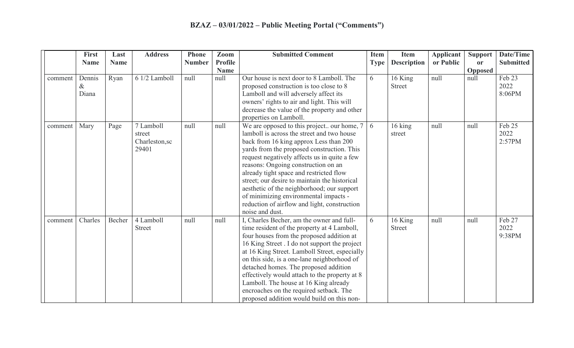|         | <b>First</b><br><b>Name</b> | Last<br><b>Name</b> | <b>Address</b>                                 | <b>Phone</b><br><b>Number</b> | Zoom<br><b>Profile</b> | <b>Submitted Comment</b>                                                                                                                                                                                                                                                                                                                                                                                                                                                                                                      | <b>Item</b><br><b>Type</b> | <b>Item</b><br><b>Description</b> | <b>Applicant</b><br>or Public | <b>Support</b><br><b>or</b> | Date/Time<br><b>Submitted</b> |
|---------|-----------------------------|---------------------|------------------------------------------------|-------------------------------|------------------------|-------------------------------------------------------------------------------------------------------------------------------------------------------------------------------------------------------------------------------------------------------------------------------------------------------------------------------------------------------------------------------------------------------------------------------------------------------------------------------------------------------------------------------|----------------------------|-----------------------------------|-------------------------------|-----------------------------|-------------------------------|
|         |                             |                     |                                                |                               | <b>Name</b>            |                                                                                                                                                                                                                                                                                                                                                                                                                                                                                                                               |                            |                                   |                               | Opposed                     |                               |
| comment | Dennis<br>&<br>Diana        | Ryan                | 6 1/2 Lamboll                                  | null                          | null                   | Our house is next door to 8 Lamboll. The<br>proposed construction is too close to 8<br>Lamboll and will adversely affect its<br>owners' rights to air and light. This will<br>decrease the value of the property and other<br>properties on Lamboll.                                                                                                                                                                                                                                                                          | 6                          | 16 King<br><b>Street</b>          | null                          | null                        | Feb 23<br>2022<br>8:06PM      |
| comment | Mary                        | Page                | 7 Lamboll<br>street<br>Charleston, sc<br>29401 | null                          | null                   | We are opposed to this project our home, 7<br>lamboll is across the street and two house<br>back from 16 king approx Less than 200<br>yards from the proposed construction. This<br>request negatively affects us in quite a few<br>reasons: Ongoing construction on an<br>already tight space and restricted flow<br>street; our desire to maintain the historical<br>aesthetic of the neighborhood; our support<br>of minimizing environmental impacts -<br>reduction of airflow and light, construction<br>noise and dust. | 6                          | 16 king<br>street                 | null                          | null                        | Feb 25<br>2022<br>2:57PM      |
| comment | Charles                     | Becher              | 4 Lamboll<br><b>Street</b>                     | null                          | null                   | I, Charles Becher, am the owner and full-<br>time resident of the property at 4 Lamboll,<br>four houses from the proposed addition at<br>16 King Street . I do not support the project<br>at 16 King Street. Lamboll Street, especially<br>on this side, is a one-lane neighborhood of<br>detached homes. The proposed addition<br>effectively would attach to the property at 8<br>Lamboll. The house at 16 King already<br>encroaches on the required setback. The<br>proposed addition would build on this non-            | 6                          | 16 King<br><b>Street</b>          | null                          | null                        | Feb 27<br>2022<br>9:38PM      |